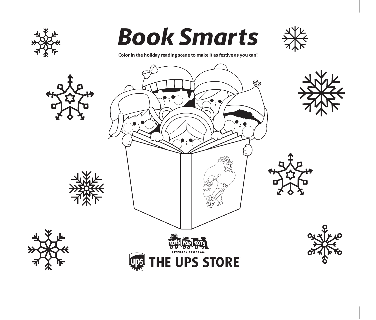

# *Book Smarts*